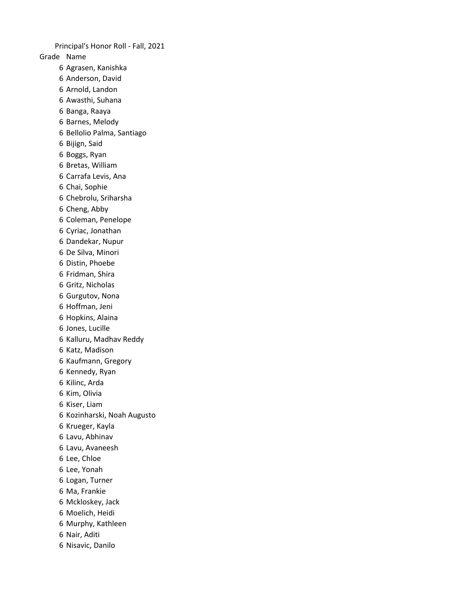Grade Name Agrasen, Kanishka Anderson, David Arnold, Landon Awasthi, Suhana Banga, Raaya Barnes, Melody Bellolio Palma, Santiago Bijign, Said Boggs, Ryan Bretas, William Carrafa Levis, Ana Chai, Sophie Chebrolu, Sriharsha Cheng, Abby Coleman, Penelope Cyriac, Jonathan Dandekar, Nupur De Silva, Minori Distin, Phoebe Fridman, Shira Gritz, Nicholas Gurgutov, Nona Hoffman, Jeni Hopkins, Alaina Jones, Lucille Kalluru, Madhav Reddy Katz, Madison Kaufmann, Gregory Kennedy, Ryan Kilinc, Arda Kim, Olivia Kiser, Liam Kozinharski, Noah Augusto Krueger, Kayla Lavu, Abhinav Lavu, Avaneesh Lee, Chloe Lee, Yonah Logan, Turner Ma, Frankie Mckloskey, Jack Moelich, Heidi Murphy, Kathleen Nair, Aditi Nisavic, Danilo Principal's Honor Roll - Fall, 2021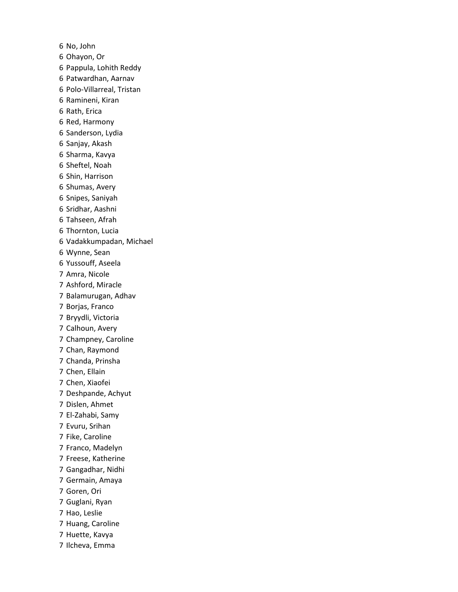No, John Ohayon, Or Pappula, Lohith Reddy Patwardhan, Aarnav Polo-Villarreal, Tristan Ramineni, Kiran Rath, Erica Red, Harmony Sanderson, Lydia Sanjay, Akash Sharma, Kavya Sheftel, Noah Shin, Harrison Shumas, Avery Snipes, Saniyah Sridhar, Aashni Tahseen, Afrah Thornton, Lucia Vadakkumpadan, Michael Wynne, Sean Yussouff, Aseela Amra, Nicole Ashford, Miracle Balamurugan, Adhav Borjas, Franco Bryydli, Victoria Calhoun, Avery Champney, Caroline Chan, Raymond Chanda, Prinsha Chen, Ellain Chen, Xiaofei Deshpande, Achyut Dislen, Ahmet El-Zahabi, Samy Evuru, Srihan Fike, Caroline Franco, Madelyn Freese, Katherine Gangadhar, Nidhi Germain, Amaya Goren, Ori Guglani, Ryan Hao, Leslie Huang, Caroline Huette, Kavya Ilcheva, Emma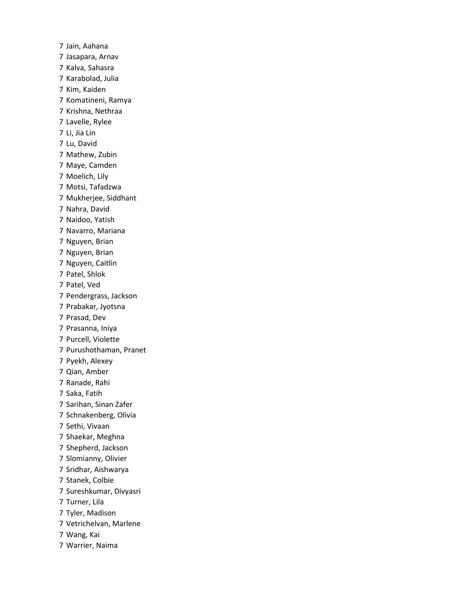Jain, Aahana Jasapara, Arnav Kalva, Sahasra Karabolad, Julia Kim, Kaiden Komatineni, Ramya Krishna, Nethraa Lavelle, Rylee Li, Jia Lin Lu, David Mathew, Zubin Maye, Camden Moelich, Lily Motsi, Tafadzwa Mukherjee, Siddhant Nahra, David Naidoo, Yatish Navarro, Mariana Nguyen, Brian Nguyen, Brian Nguyen, Caitlin Patel, Shlok Patel, Ved Pendergrass, Jackson Prabakar, Jyotsna Prasad, Dev Prasanna, Iniya Purcell, Violette Purushothaman, Pranet Pyekh, Alexey Qian, Amber Ranade, Rahi Saka, Fatih Sarihan, Sinan Zafer Schnakenberg, Olivia Sethi, Vivaan Shaekar, Meghna Shepherd, Jackson Slomianny, Olivier Sridhar, Aishwarya Stanek, Colbie Sureshkumar, Divyasri Turner, Lila Tyler, Madison Vetrichelvan, Marlene Wang, Kai Warrier, Naima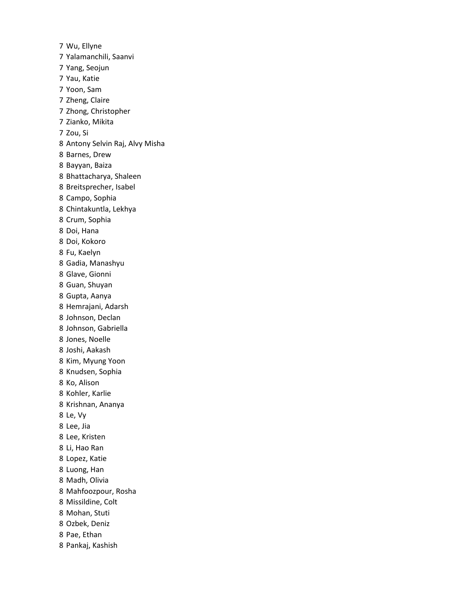Wu, Ellyne Yalamanchili, Saanvi Yang, Seojun Yau, Katie Yoon, Sam Zheng, Claire Zhong, Christopher Zianko, Mikita Zou, Si Antony Selvin Raj, Alvy Misha Barnes, Drew Bayyan, Baiza Bhattacharya, Shaleen Breitsprecher, Isabel Campo, Sophia Chintakuntla, Lekhya Crum, Sophia Doi, Hana Doi, Kokoro Fu, Kaelyn Gadia, Manashyu Glave, Gionni Guan, Shuyan Gupta, Aanya Hemrajani, Adarsh Johnson, Declan Johnson, Gabriella Jones, Noelle Joshi, Aakash Kim, Myung Yoon Knudsen, Sophia Ko, Alison Kohler, Karlie Krishnan, Ananya Le, Vy Lee, Jia Lee, Kristen Li, Hao Ran Lopez, Katie Luong, Han Madh, Olivia Mahfoozpour, Rosha Missildine, Colt Mohan, Stuti Ozbek, Deniz Pae, Ethan Pankaj, Kashish